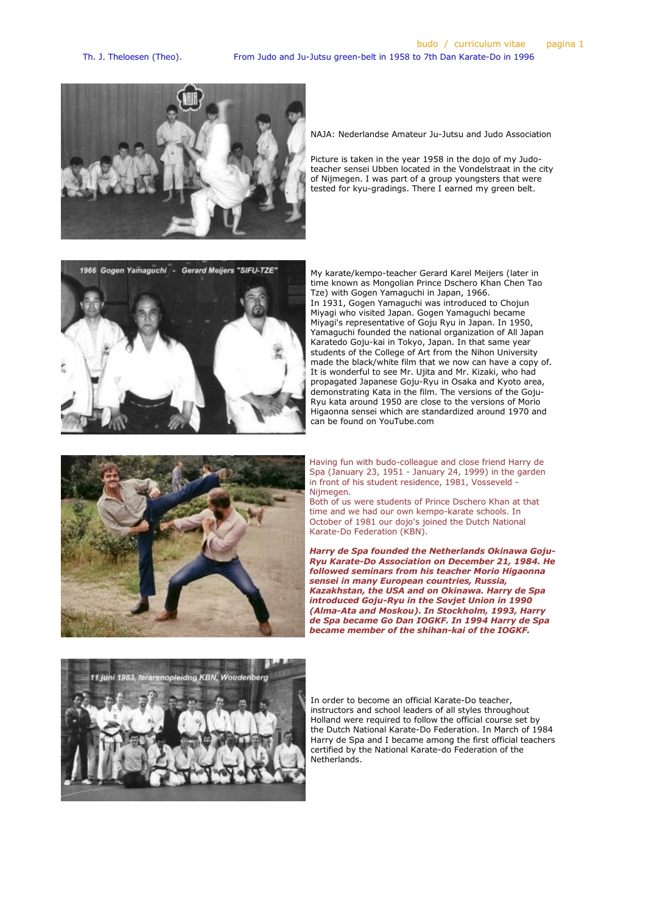

NAJA: Nederlandse Amateur Ju-Jutsu and Judo Association

Picture is taken in the year 1958 in the dojo of my Judoteacher sensei Ubben located in the Vondelstraat in the city of Nijmegen. I was part of a group youngsters that were tested for kyu-gradings. There I earned my green belt.



My karate/kempo-teacher Gerard Karel Meijers (later in time known as Mongolian Prince Dschero Khan Chen Tao Tze) with Gogen Yamaguchi in Japan, 1966. In 1931, Gogen Yamaguchi was introduced to Chojun Miyagi who visited Japan. Gogen Yamaguchi became Miyagi's representative of Goju Ryu in Japan. In 1950, Yamaguchi founded the national organization of All Japan Karatedo Goju-kai in Tokyo, Japan. In that same year students of the College of Art from the Nihon University made the black/white film that we now can have a copy of. It is wonderful to see Mr. Ujita and Mr. Kizaki, who had propagated Japanese Goju-Ryu in Osaka and Kyoto area, demonstrating Kata in the film. The versions of the Goju-Ryu kata around 1950 are close to the versions of Morio Higaonna sensei which are standardized around 1970 and can be found on YouTube.com



Having fun with budo-colleague and close friend Harry de Spa (January 23, 1951 - January 24, 1999) in the garden in front of his student residence, 1981, Vosseveld - Nijmegen.

Both of us were students of Prince Dschero Khan at that time and we had our own kempo-karate schools. In October of 1981 our dojo's joined the Dutch National Karate-Do Federation (KBN).

Harry de Spa founded the Netherlands Okinawa Goju-Ryu Karate-Do Association on December 21, 1984. He followed seminars from his teacher Morio Higaonna sensei in many European countries, Russia, Kazakhstan, the USA and on Okinawa. Harry de Spa introduced Goju-Ryu in the Sovjet Union in 1990 (Alma-Ata and Moskou). In Stockholm, 1993, Harry de Spa became Go Dan IOGKF. In 1994 Harry de Spa became member of the shihan-kai of the IOGKF.



In order to become an official Karate-Do teacher, instructors and school leaders of all styles throughout Holland were required to follow the official course set by the Dutch National Karate-Do Federation. In March of 1984 Harry de Spa and I became among the first official teachers certified by the National Karate-do Federation of the Netherlands.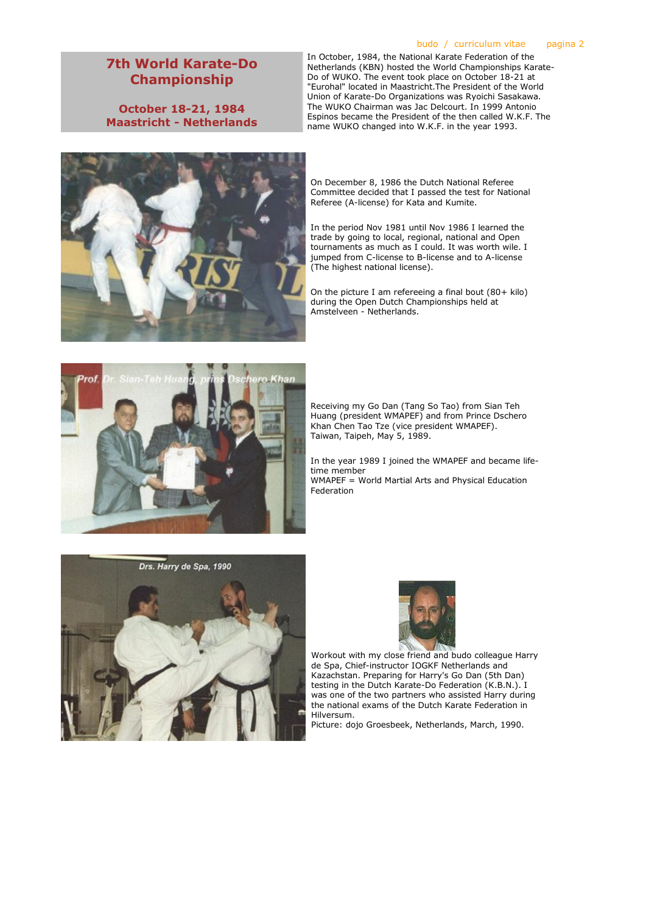# 7th World Karate-Do Championship

October 18-21, 1984 Maastricht - Netherlands



## budo / curriculum vitae pagina 2

In October, 1984, the National Karate Federation of the Netherlands (KBN) hosted the World Championships Karate-Do of WUKO. The event took place on October 18-21 at "Eurohal" located in Maastricht.The President of the World Union of Karate-Do Organizations was Ryoichi Sasakawa. The WUKO Chairman was Jac Delcourt. In 1999 Antonio Espinos became the President of the then called W.K.F. The name WUKO changed into W.K.F. in the year 1993.

On December 8, 1986 the Dutch National Referee Committee decided that I passed the test for National Referee (A-license) for Kata and Kumite.

In the period Nov 1981 until Nov 1986 I learned the trade by going to local, regional, national and Open tournaments as much as I could. It was worth wile. I jumped from C-license to B-license and to A-license (The highest national license).

On the picture I am refereeing a final bout (80+ kilo) during the Open Dutch Championships held at Amstelveen - Netherlands.



Receiving my Go Dan (Tang So Tao) from Sian Teh Huang (president WMAPEF) and from Prince Dschero Khan Chen Tao Tze (vice president WMAPEF). Taiwan, Taipeh, May 5, 1989.

In the year 1989 I joined the WMAPEF and became lifetime member WMAPEF = World Martial Arts and Physical Education Federation





Workout with my close friend and budo colleague Harry de Spa, Chief-instructor IOGKF Netherlands and Kazachstan. Preparing for Harry's Go Dan (5th Dan) testing in the Dutch Karate-Do Federation (K.B.N.). I was one of the two partners who assisted Harry during the national exams of the Dutch Karate Federation in Hilversum.

Picture: dojo Groesbeek, Netherlands, March, 1990.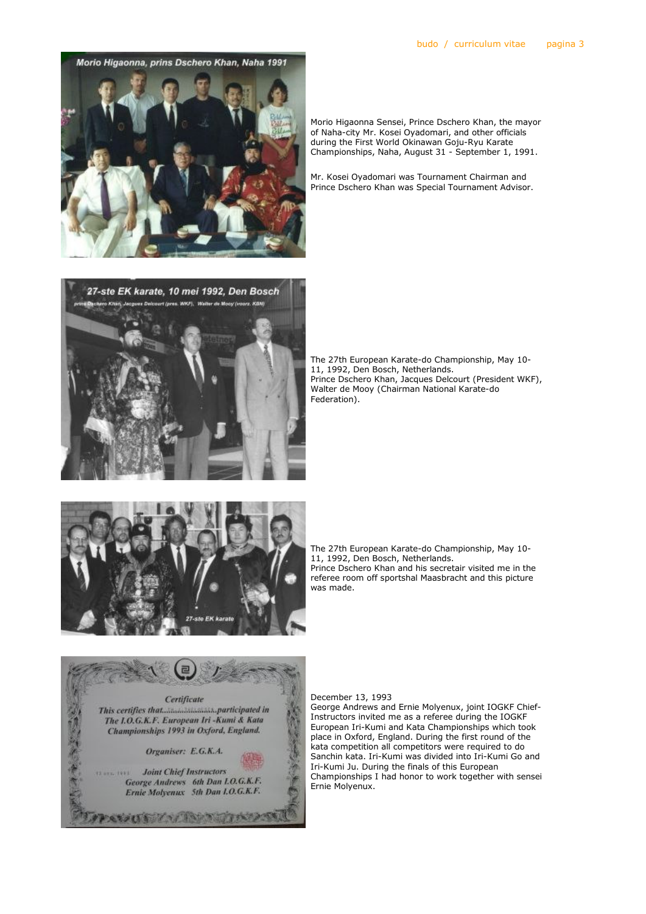Morio Higaonna, prins Dschero Khan, Naha 1991

Morio Higaonna Sensei, Prince Dschero Khan, the mayor of Naha-city Mr. Kosei Oyadomari, and other officials during the First World Okinawan Goju-Ryu Karate Championships, Naha, August 31 - September 1, 1991.

Mr. Kosei Oyadomari was Tournament Chairman and Prince Dschero Khan was Special Tournament Advisor.



The 27th European Karate-do Championship, May 10- 11, 1992, Den Bosch, Netherlands. Prince Dschero Khan, Jacques Delcourt (President WKF), Walter de Mooy (Chairman National Karate-do Federation).



The 27th European Karate-do Championship, May 10- 11, 1992, Den Bosch, Netherlands. Prince Dschero Khan and his secretair visited me in the referee room off sportshal Maasbracht and this picture was made.



#### December 13, 1993

George Andrews and Ernie Molyenux, joint IOGKF Chief-Instructors invited me as a referee during the IOGKF European Iri-Kumi and Kata Championships which took place in Oxford, England. During the first round of the kata competition all competitors were required to do Sanchin kata. Iri-Kumi was divided into Iri-Kumi Go and Iri-Kumi Ju. During the finals of this European Championships I had honor to work together with sensei Ernie Molyenux.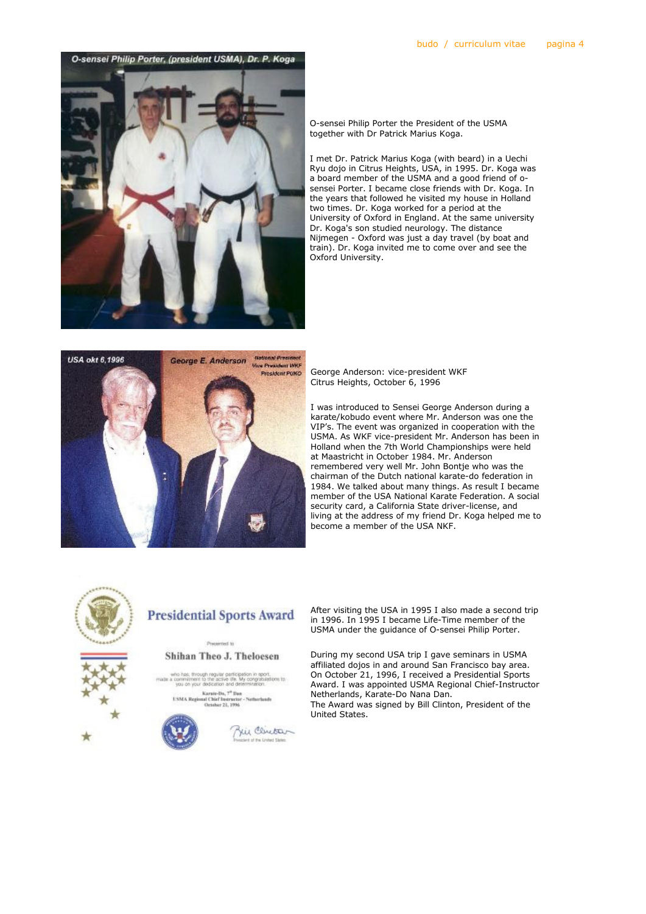

O-sensei Philip Porter the President of the USMA together with Dr Patrick Marius Koga.

I met Dr. Patrick Marius Koga (with beard) in a Uechi Ryu dojo in Citrus Heights, USA, in 1995. Dr. Koga was a board member of the USMA and a good friend of osensei Porter. I became close friends with Dr. Koga. In the years that followed he visited my house in Holland two times. Dr. Koga worked for a period at the University of Oxford in England. At the same university Dr. Koga's son studied neurology. The distance Nijmegen - Oxford was just a day travel (by boat and train). Dr. Koga invited me to come over and see the Oxford University.



George Anderson: vice-president WKF Citrus Heights, October 6, 1996

I was introduced to Sensei George Anderson during a karate/kobudo event where Mr. Anderson was one the VIP's. The event was organized in cooperation with the USMA. As WKF vice-president Mr. Anderson has been in Holland when the 7th World Championships were held at Maastricht in October 1984. Mr. Anderson remembered very well Mr. John Bontje who was the chairman of the Dutch national karate-do federation in 1984. We talked about many things. As result I became member of the USA National Karate Federation. A social security card, a California State driver-license, and living at the address of my friend Dr. Koga helped me to become a member of the USA NKF.



# **Presidential Sports Award**

### Preserved to Shihan Theo J. Theloesen

hough regular participation in sport.<br>ent to the active life. My congratulations to<br>cur dedication and determination.

Karain-Da, 7<sup>9</sup> Ilun<br>sual Chief Instructor - Notherlands<br>October 21, 1996 **USMA Regic** 



Zui Clintar of the Lindad State

After visiting the USA in 1995 I also made a second trip in 1996. In 1995 I became Life-Time member of the USMA under the guidance of O-sensei Philip Porter.

During my second USA trip I gave seminars in USMA affiliated dojos in and around San Francisco bay area. On October 21, 1996, I received a Presidential Sports Award. I was appointed USMA Regional Chief-Instructor Netherlands, Karate-Do Nana Dan. The Award was signed by Bill Clinton, President of the United States.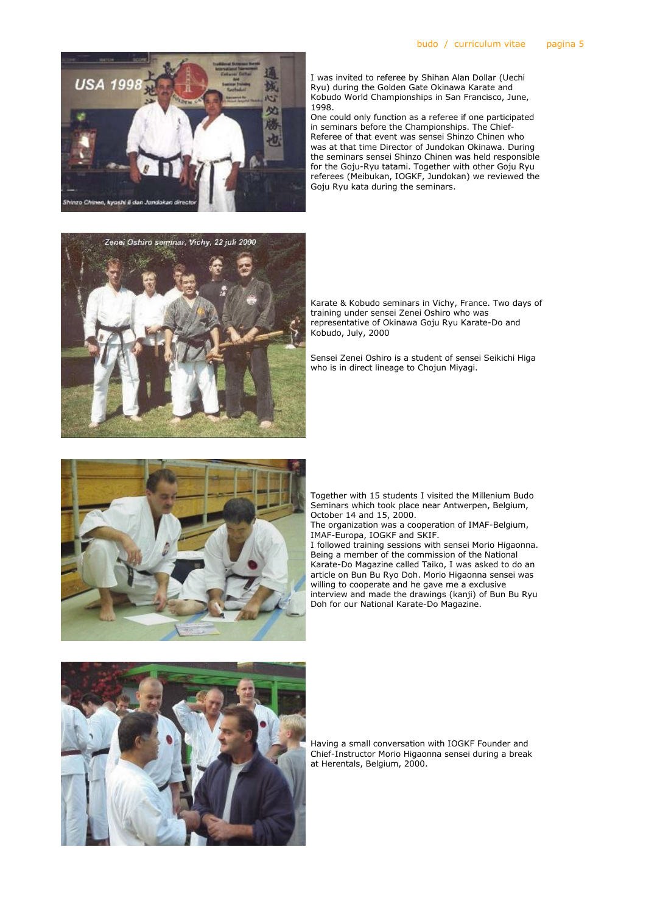

I was invited to referee by Shihan Alan Dollar (Uechi Ryu) during the Golden Gate Okinawa Karate and Kobudo World Championships in San Francisco, June, 1998.

One could only function as a referee if one participated in seminars before the Championships. The Chief-Referee of that event was sensei Shinzo Chinen who was at that time Director of Jundokan Okinawa. During the seminars sensei Shinzo Chinen was held responsible for the Goju-Ryu tatami. Together with other Goju Ryu referees (Meibukan, IOGKF, Jundokan) we reviewed the Goju Ryu kata during the seminars.



Karate & Kobudo seminars in Vichy, France. Two days of training under sensei Zenei Oshiro who was representative of Okinawa Goju Ryu Karate-Do and Kobudo, July, 2000

Sensei Zenei Oshiro is a student of sensei Seikichi Higa who is in direct lineage to Chojun Miyagi.



Together with 15 students I visited the Millenium Budo Seminars which took place near Antwerpen, Belgium, October 14 and 15, 2000.

The organization was a cooperation of IMAF-Belgium, IMAF-Europa, IOGKF and SKIF.

I followed training sessions with sensei Morio Higaonna. Being a member of the commission of the National Karate-Do Magazine called Taiko, I was asked to do an article on Bun Bu Ryo Doh. Morio Higaonna sensei was willing to cooperate and he gave me a exclusive interview and made the drawings (kanji) of Bun Bu Ryu Doh for our National Karate-Do Magazine.



Having a small conversation with IOGKF Founder and Chief-Instructor Morio Higaonna sensei during a break at Herentals, Belgium, 2000.